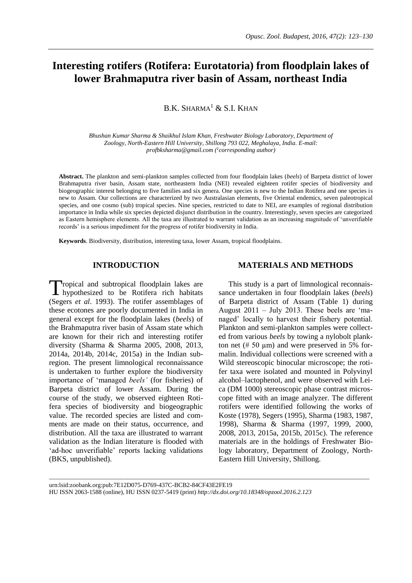# **Interesting rotifers (Rotifera: Eurotatoria) from floodplain lakes of lower Brahmaputra river basin of Assam, northeast India**

 $B.K. SHARMA<sup>1</sup> & S.I. KHAN$ 

*Bhushan Kumar Sharma & Shaikhul Islam Khan, Freshwater Biology Laboratory, Department of Zoology, North-Eastern Hill University, Shillong 793 022, Meghalaya, India. E-mail: [profbksharma@gmail.com](mailto:profbksharma@gmail.com) ( 1 corresponding author)*

**Abstract.** The plankton and semi-plankton samples collected from four floodplain lakes (*beels*) of Barpeta district of lower Brahmaputra river basin, Assam state, northeastern India (NEI) revealed eighteen rotifer species of biodiversity and biogeographic interest belonging to five families and six genera. One species is new to the Indian Rotifera and one species is new to Assam. Our collections are characterized by two Australasian elements, five Oriental endemics, seven paleotropical species, and one cosmo (sub) tropical species. Nine species, restricted to date to NEI, are examples of regional distribution importance in India while six species depicted disjunct distribution in the country. Interestingly, seven species are categorized as Eastern hemisphere elements. All the taxa are illustrated to warrant validation as an increasing magnitude of 'unverifiable records' is a serious impediment for the progress of rotifer biodiversity in India.

**Keywords**. Biodiversity, distribution, interesting taxa, lower Assam, tropical floodplains.

# **INTRODUCTION**

ropical and subtropical floodplain lakes are hypothesized to be Rotifera rich habitats (Segers *et al*. 1993). The rotifer assemblages of these ecotones are poorly documented in India in general except for the floodplain lakes (*beels*) of the Brahmaputra river basin of Assam state which are known for their rich and interesting rotifer diversity (Sharma & Sharma 2005, 2008, 2013, 2014a, 2014b, 2014c, 2015a) in the Indian subregion. The present limnological reconnaissance is undertaken to further explore the biodiversity importance of 'managed *beels'* (for fisheries) of Barpeta district of lower Assam. During the course of the study, we observed eighteen Rotifera species of biodiversity and biogeographic value. The recorded species are listed and comments are made on their status, occurrence, and distribution. All the taxa are illustrated to warrant validation as the Indian literature is flooded with 'ad-hoc unverifiable' reports lacking validations (BKS, unpublished). T

# **MATERIALS AND METHODS**

This study is a part of limnological reconnaissance undertaken in four floodplain lakes (*beels*) of Barpeta district of Assam (Table 1) during August 2011 – July 2013. These beels are 'managed' locally to harvest their fishery potential. Plankton and semi-plankton samples were collected from various *beels* by towing a nylobolt plankton net ( $# 50 \mu m$ ) and were preserved in 5% formalin. Individual collections were screened with a Wild stereoscopic binocular microscope; the rotifer taxa were isolated and mounted in Polyvinyl alcohol–lactophenol, and were observed with Leica (DM 1000) stereoscopic phase contrast microscope fitted with an image analyzer. The different rotifers were identified following the works of Koste (1978), Segers (1995), Sharma (1983, 1987, 1998), Sharma & Sharma (1997, 1999, 2000, 2008, 2013, 2015a, 2015b, 2015c). The reference materials are in the holdings of Freshwater Biology laboratory, Department of Zoology, North-Eastern Hill University, Shillong.

\_\_\_\_\_\_\_\_\_\_\_\_\_\_\_\_\_\_\_\_\_\_\_\_\_\_\_\_\_\_\_\_\_\_\_\_\_\_\_\_\_\_\_\_\_\_\_\_\_\_\_\_\_\_\_\_\_\_\_\_\_\_\_\_\_\_\_\_\_\_\_\_\_\_\_\_\_\_\_\_\_\_\_\_\_\_\_\_\_\_\_\_\_\_\_\_\_\_\_\_\_\_\_

urn:lsid:zoobank.org:pub:7E12D075-D769-437C-BCB2-84CF43E2FE19 HU ISSN 2063-1588 (online), HU ISSN 0237-5419 (print) *<http://dx.doi.org/10.18348/opzool.2016.2.123>*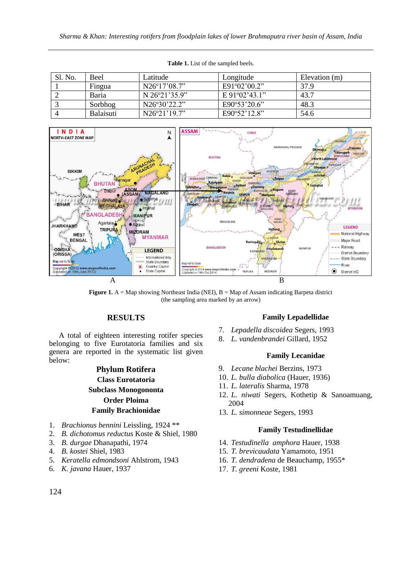| Sl. No. | Beel             | Latitude               | Longitude                     | Elevation (m) |
|---------|------------------|------------------------|-------------------------------|---------------|
|         | Fingua           | $N26^{\circ}17'08.7"$  | $E91^{\circ}02^{\circ}00.2$ " | 37.9          |
|         | Baria            | N $26^{\circ}21'35.9"$ | E 91°02'43.1"                 | 43.7          |
|         | Sorbhog          | N26°30'22.2"           | E90°53'20.6"                  | 48.3          |
|         | <b>Balaisuti</b> | $N26^{\circ}21'19.7"$  | E90°52'12.8"                  | 54.6          |





**Figure 1.** A = Map showing Northeast India (NEI), B = Map of Assam indicating Barpeta district (the sampling area marked by an arrow)

# **RESULTS**

A total of eighteen interesting rotifer species belonging to five Eurotatoria families and six genera are reported in the systematic list given below:

# **Phylum Rotifera Class Eurotatoria Subclass Monogononta Order Ploima Family Brachionidae**

- 1. *Brachionus bennini* Leissling, 1924 \*\*
- 2. *B. dichotomus reductus* Koste & Shiel, 1980
- 3. *B. durgae* Dhanapathi, 1974
- 4. *B. kostei* Shiel, 1983
- 5. *Keratella edmondsoni* Ahlstrom, 1943
- 6. *K. javana* Hauer, 1937

### **Family Lepadellidae**

- 7. *Lepadella discoidea* Segers, 1993
- 8. *L. vandenbrandei* Gillard, 1952

#### **Family Lecanidae**

- 9. *Lecane blachei* Berzins, 1973
- 10. *L. bulla diabolica* (Hauer, 1936)
- 11. *L. lateralis* Sharma, 1978
- 12. *L. niwati* Segers, Kothetip & Sanoamuang, 2004
- 13. *L. simonneae* Segers, 1993

#### **Family Testudinellidae**

- 14. *Testudinella amphora* Hauer, 1938
- 15. *T. brevicaudata* Yamamoto, 1951
- 16. *T. dendradena* de Beauchamp, 1955\*
- 17. *T. greeni* Koste, 1981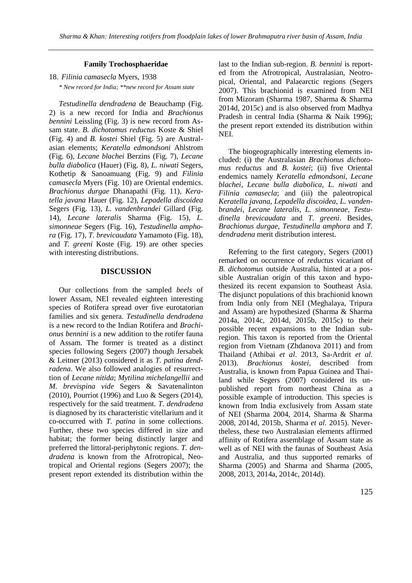#### **Family Trochosphaeridae**

18. *Filinia camasecla* Myers, 1938

*\* New record for India; \*\*new record for Assam state*

*Testudinella dendradena* de Beauchamp (Fig. 2) is a new record for India and *Brachionus bennini* Leissling (Fig. 3) is new record from Assam state. *B. dichotomus reductus* Koste & Shiel (Fig. 4) and *B. kostei* Shiel (Fig. 5) are Australasian elements; *Keratella edmondsoni* Ahlstrom (Fig. 6), *Lecane blachei* Berzins (Fig. 7), *Lecane bulla diabolica* (Hauer) (Fig. 8), *L. niwati* Segers, Kothetip & Sanoamuang (Fig. 9) and *Filinia camasecla* Myers (Fig. 10) are Oriental endemics. *Brachionus durgae* Dhanapathi (Fig. 11), *Keratella javana* Hauer (Fig. 12), *Lepadella discoidea*  Segers (Fig. 13), *L. vandenbrandei* Gillard (Fig. 14), *Lecane lateralis* Sharma (Fig. 15), *L. simonneae* Segers (Fig. 16), *Testudinella amphora* (Fig. 17), *T. brevicaudata* Yamamoto (Fig. 18), and *T. greeni* Koste (Fig. 19) are other species with interesting distributions.

#### **DISCUSSION**

Our collections from the sampled *beels* of lower Assam, NEI revealed eighteen interesting species of Rotifera spread over five eurotatorian families and six genera. *Testudinella dendradena* is a new record to the Indian Rotifera and *Brachionus bennini* is a new addition to the rotifer fauna of Assam. The former is treated as a distinct species following Segers (2007) though Jersabek & Leitner (2013) considered it as *T. patina dendradena*. We also followed analogies of resurrecttion of *Lecane nitida*; *Mytilina michelangellii* and *M. brevispina vide* Segers & Savatenalinton (2010), Pourriot (1996) and Luo & Segers (2014), respectively for the said treatment. *T. dendradena* is diagnosed by its characteristic vitellarium and it co-occurred with *T. patina* in some collections. Further, these two species differed in size and habitat; the former being distinctly larger and preferred the littoral-periphytonic regions. *T. dendradena* is known from the Afrotropical, Neotropical and Oriental regions (Segers 2007); the present report extended its distribution within the

last to the Indian sub-region. *B. bennini* is reported from the Afrotropical, Australasian, Neotropical, Oriental, and Palaearctic regions (Segers 2007). This brachionid is examined from NEI from Mizoram (Sharma 1987, Sharma & Sharma 2014d, 2015c) and is also observed from Madhya Pradesh in central India (Sharma & Naik 1996); the present report extended its distribution within NEI.

The biogeographically interesting elements included: (i) the Australasian *Brachionus dichotomus reductus* and *B. kostei*; (ii) five Oriental endemics namely *Keratella edmondsoni*, *Lecane blachei*, *Lecane bulla diabolica, L. niwati* and *Filinia camasecla*; and (iii) the paleotropical *Keratella javana, Lepadella discoidea*, *L. vandenbrandei*, *Lecane lateralis*, *L. simonneae*, *Testudinella brevicaudata* and *T. greeni*. Besides, *Brachionus durgae, Testudinella amphora* and *T. dendradena* merit distribution interest.

Referring to the first category, Segers (2001) remarked on occurrence of *reductus* vicariant of *B. dichotomus* outside Australia, hinted at a possible Australian origin of this taxon and hypothesized its recent expansion to Southeast Asia. The disjunct populations of this brachionid known from India only from NEI (Meghalaya, Tripura and Assam) are hypothesized (Sharma & Sharma 2014a, 2014c, 2014d, 2015b, 2015c) to their possible recent expansions to the Indian subregion. This taxon is reported from the Oriental region from Vietnam (Zhdanova 2011) and from Thailand (Athibai *et al*. 2013, Sa-Ardrit *et al.*  2013). *Brachionus kostei,* described from Australia, is known from Papua Guinea and Thailand while Segers (2007) considered its unpublished report from northeast China as a possible example of introduction. This species is known from India exclusively from Assam state of NEI (Sharma 2004, 2014, Sharma & Sharma 2008, 2014d, 2015b, Sharma *et al.* 2015). Nevertheless, these two Australasian elements affirmed affinity of Rotifera assemblage of Assam state as well as of NEI with the faunas of Southeast Asia and Australia, and thus supported remarks of Sharma (2005) and Sharma and Sharma (2005, 2008, 2013, 2014a, 2014c, 2014d).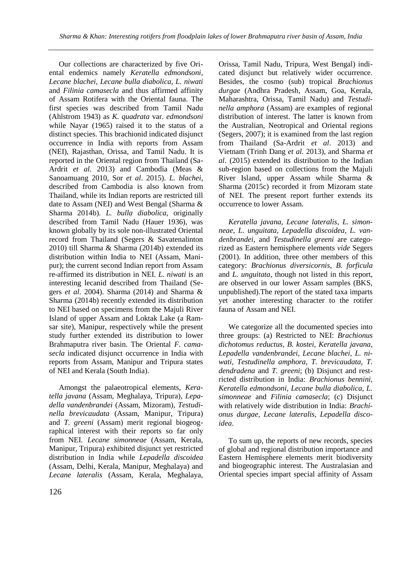Our collections are characterized by five Oriental endemics namely *Keratella edmondsoni*, *Lecane blachei*, *Lecane bulla diabolica, L. niwati*  and *Filinia camasecla* and thus affirmed affinity of Assam Rotifera with the Oriental fauna. The first species was described from Tamil Nadu (Ahlstrom 1943) as *K. quadrata* var. *edmondsoni*  while Nayar (1965) raised it to the status of a distinct species. This brachionid indicated disjunct occurrence in India with reports from Assam (NEI), Rajasthan, Orissa, and Tamil Nadu. It is reported in the Oriental region from Thailand (Sa-Ardrit *et al.* 2013) and Cambodia (Meas & Sanoamuang 2010, Sor *et al*. 2015). *L. blachei*, described from Cambodia is also known from Thailand, while its Indian reports are restricted till date to Assam (NEI) and West Bengal (Sharma & Sharma 2014b). *L. bulla diabolica,* originally described from Tamil Nadu (Hauer 1936), was known globally by its sole non-illustrated Oriental record from Thailand (Segers & Savatenalinton 2010) till Sharma & Sharma (2014b) extended its distribution within India to NEI (Assam, Manipur); the current second Indian report from Assam re-affirmed its distribution in NEI. *L. niwati* is an interesting lecanid described from Thailand (Segers *et al*. 2004). Sharma (2014) and Sharma & Sharma (2014b) recently extended its distribution to NEI based on specimens from the Majuli River Island of upper Assam and Loktak Lake (a Ramsar site), Manipur, respectively while the present study further extended its distribution to lower Brahmaputra river basin. The Oriental *F. camasecla* indicated disjunct occurrence in India with reports from Assam, Manipur and Tripura states of NEI and Kerala (South India).

Amongst the palaeotropical elements, *Keratella javana* (Assam, Meghalaya, Tripura)*, Lepadella vandenbrandei* (Assam, Mizoram)*, Testudinella brevicaudata* (Assam, Manipur, Tripura) and *T. greeni* (Assam) merit regional biogeographical interest with their reports so far only from NEI. *Lecane simonneae* (Assam, Kerala, Manipur, Tripura) exhibited disjunct yet restricted distribution in India while *Lepadella discoidea*  (Assam, Delhi, Kerala, Manipur, Meghalaya) and *Lecane lateralis* (Assam, Kerala, Meghalaya, Orissa, Tamil Nadu, Tripura, West Bengal) indicated disjunct but relatively wider occurrence. Besides, the cosmo (sub) tropical *Brachionus durgae* (Andhra Pradesh, Assam, Goa, Kerala, Maharashtra, Orissa, Tamil Nadu) and *Testudinella amphora* (Assam) are examples of regional distribution of interest. The latter is known from the Australian, Neotropical and Oriental regions (Segers, 2007); it is examined from the last region from Thailand (Sa-Ardrit *et al*. 2013) and Vietnam (Trinh Dang *et al*. 2013), and Sharma *et al*. (2015) extended its distribution to the Indian sub-region based on collections from the Majuli River Island, upper Assam while Sharma & Sharma (2015c) recorded it from Mizoram state of NEI. The present report further extends its occurrence to lower Assam.

*Keratella javana, Lecane lateralis*, *L. simonneae*, *L. unguitata*, *Lepadella discoidea*, *L. vandenbrandei*, and *Testudinella greeni* are categorized as Eastern hemisphere elements *vide* Segers (2001). In addition, three other members of this category: *Brachionus diversicornis*, *B. forficula* and *L. unguitata*, though not listed in this report, are observed in our lower Assam samples (BKS, unpublished).The report of the stated taxa imparts yet another interesting character to the rotifer fauna of Assam and NEI.

We categorize all the documented species into three groups: (a) Restricted to NEI: *Brachionus dichotomus reductus, B. kostei, Keratella javana, Lepadella vandenbrandei, Lecane blachei, L. niwati, Testudinella amphora, T. brevicaudata, T. dendradena* and *T. greeni*; (b) Disjunct and restricted distribution in India: *Brachionus bennini, Keratella edmondsoni, Lecane bulla diabolica, L. simonneae* and *Filinia camasecla*; (c) Disjunct with relatively wide distribution in India: *Brachionus durgae, Lecane lateralis, Lepadella discoidea*.

To sum up, the reports of new records, species of global and regional distribution importance and Eastern Hemisphere elements merit biodiversity and biogeographic interest. The Australasian and Oriental species impart special affinity of Assam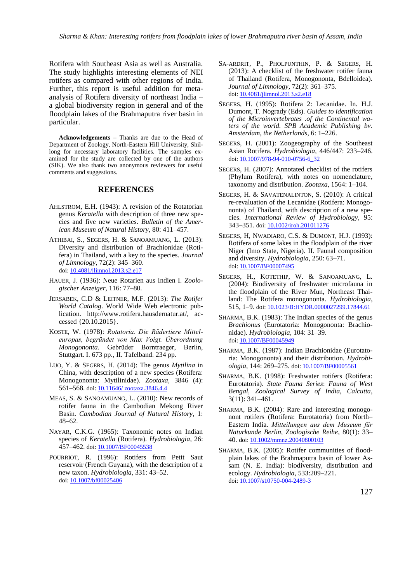Rotifera with Southeast Asia as well as Australia. The study highlights interesting elements of NEI rotifers as compared with other regions of India. Further, this report is useful addition for metaanalysis of Rotifera diversity of northeast India – a global biodiversity region in general and of the floodplain lakes of the Brahmaputra river basin in particular.

**Acknowledgements** – Thanks are due to the Head of Department of Zoology, North-Eastern Hill University, Shillong for necessary laboratory facilities. The samples examined for the study are collected by one of the authors (SIK). We also thank two anonymous reviewers for useful comments and suggestions.

#### **REFERENCES**

- AHLSTROM, E.H. (1943): A revision of the Rotatorian genus *Keratella* with description of three new species and five new varieties. *Bulletin of the American Museum of Natural History,* 80: 411–457.
- ATHIBAI, S., SEGERS, H. & SANOAMUANG, L. (2013): Diversity and distribution of Brachionidae (Rotifera) in Thailand, with a key to the species. *Journal of Limnology*, 72(2): 345–360. doi[: 10.4081/jlimnol.2013.s2.e17](http://dx.doi.org/10.4081/jlimnol.2013.s2.e17)
- HAUER, J. (1936): Neue Rotarien aus Indien I. *Zoologischer Anzeiger,* 116: 77–80.
- JERSABEK, C.D & LEITNER, M.F. (2013): *The Rotifer World Catalog*. World Wide Web electronic publication. [http://www.rotifera.hausdernatur.at/,](http://www.rotifera.hausdernatur.at/) accessed {20.10.2015}.
- KOSTE, W. (1978): *Rotatoria. Die Rädertiere Mitteleuropas, begründet von Max Voigt. Überordnung Monogononta*. Gebrüder Borntraeger, Berlin, Stuttgart. I. 673 pp., II. Tafelband. 234 pp.
- LUO, Y. & SEGERS, H. (2014): The genus *Mytilina* in China, with description of a new species (Rotifera: Monogononta: Mytilinidae). *Zootaxa*, 3846 (4): 561–568. doi: 10.11646/zootaxa.3846.4.4
- MEAS, S. & SANOAMUANG, L. (2010): New records of rotifer fauna in the Cambodian Mekong River Basin. *Cambodian Journal of Natural History*, 1: 48–62.
- NAYAR, C.K.G. (1965): Taxonomic notes on Indian species of *Keratella* (Rotifera). *Hydrobiologia,* 26: 457-462. doi: [10.1007/BF00045538](http://dx.doi.org/10.1007/BF00045538)
- POURRIOT, R. (1996): Rotifers from Petit Saut reservoir (French Guyana), with the description of a new taxon. *Hydrobiologia*, 331: 43–52. doi[: 10.1007/bf00025406](http://dx.doi.org/10.1007/bf00025406)
- SA-ARDRIT, P., PHOLPUNTHIN, P. & SEGERS, H. (2013): A checklist of the freshwater rotifer fauna of Thailand (Rotifera, Monogononta, Bdelloidea). *Journal of Limnology,* 72(2): 361–375. doi: [10.4081/jlimnol.2013.s2.e18](http://dx.doi.org/10.4081/jlimnol.2013.s2.e18)
- SEGERS, H. (1995): Rotifera 2: Lecanidae. In. H.J. Dumont, T. Nogrady (Eds). *Guides to identification of the Microinvertebrates .of the Continental waters of the world. SPB Academic Publishing bv. Amsterdam, the Netherlands*, 6: 1–226.
- SEGERS, H. (2001): Zoogeography of the Southeast Asian Rotifera. *Hydrobiologia,* 446/447: 233–246. doi: [10.1007/978-94-010-0756-6\\_32](http://dx.doi.org/10.1007/978-94-010-0756-6_32)
- SEGERS, H. (2007): Annotated checklist of the rotifers (Phylum Rotifera), with notes on nomenclature, taxonomy and distribution. *Zootaxa*, 1564: 1–104.
- SEGERS, H. & SAVATENALINTON, S. (2010): A critical re-revaluation of the Lecanidae (Rotifera: Monogononta) of Thailand, with description of a new species. *International Review of Hydrobiology*, 95: 343–351. doi[: 10.1002/iroh.201011276](http://dx.doi.org/10.1002/iroh.201011276)
- SEGERS, H, NWADIARO, C.S. & DUMONT, H.J. (1993): Rotifera of some lakes in the floodplain of the river Niger (Imo State, Nigeria). II. Faunal composition and diversity. *Hydrobiologia*, 250: 63–71. doi[: 10.1007/BF00007495](http://dx.doi.org/10.1007/BF00007495)
- SEGERS, H., KOTETHIP, W. & SANOAMUANG, L. (2004): Biodiversity of freshwater microfauna in the floodplain of the River Mun, Northeast Thailand: The Rotifera monogononta. *Hydrobiologia*, 515, 1–9. doi: [10.1023/B:HYDR.0000027299.17844.61](http://dx.doi.org/10.1023/B:HYDR.0000027299.17844.61)
- SHARMA, B.K. (1983): The Indian species of the genus *Brachionus* (Eurotatoria: Monogononta: Brachionidae). *Hydrobiologia*, 104: 31–39. doi: [10.1007/BF00045949](http://dx.doi.org/10.1007/BF00045949)
- SHARMA, B.K. (1987): Indian Brachionidae (Eurotatoria: Monogononta) and their distribution. *Hydrobiologia*, 144: 269–275. doi: [10.1007/BF00005561](http://dx.doi.org/10.1007/BF00005561)
- SHARMA, B.K. (1998): Freshwater rotifers (Rotifera: Eurotatoria)*. State Fauna Series*: *Fauna of West Bengal, Zoological Survey of India, Calcutta*, 3(11): 341–461.
- SHARMA, B.K. (2004): Rare and interesting monogonont rotifers (Rotifera: Eurotatoria) from North– Eastern India. *Mitteilungen aus dem Museum für Naturkunde Berlin, Zoologische Reihe*, 80(1): 33– 40. doi: [10.1002/mmnz.20040800103](http://dx.doi.org/10.1002/mmnz.20040800103)
- SHARMA, B.K. (2005): Rotifer communities of floodplain lakes of the Brahmaputra basin of lower Assam (N. E. India): biodiversity, distribution and ecology. *Hydrobiologia*, 533:209–221. doi: [10.1007/s10750-004-2489-3](http://dx.doi.org/10.1007/s10750-004-2489-3)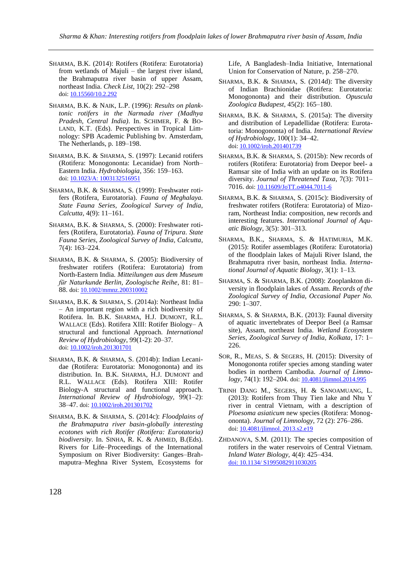- SHARMA, B.K. (2014): Rotifers (Rotifera: Eurotatoria) from wetlands of Majuli – the largest river island, the Brahmaputra river basin of upper Assam, northeast India. *Check List*, 10(2): 292–298 doi: [10.15560/10.2.292](http://dx.doi.org/10.15560/10.2.292)
- SHARMA, B.K. & NAIK, L.P. (1996): *Results on planktonic rotifers in the Narmada river (Madhya Pradesh, Central India)*. In. SCHIMER, F. & BO-LAND, K.T. (Eds). Perspectives in Tropical Limnology: SPB Academic Publishing bv. Amsterdam, The Netherlands, p. 189–198.
- SHARMA, B.K. & SHARMA, S. (1997): Lecanid rotifers (Rotifera: Monogononta: Lecanidae) from North– Eastern India. *Hydrobiologia*, 356: 159–163. doi: 10.1023/A: [1003132516951](http://dx.doi.org/10.1023/A:%201003132516951)
- SHARMA, B.K. & SHARMA, S. (1999): Freshwater rotifers (Rotifera, Eurotatoria). *Fauna of Meghalaya. State Fauna Series, Zoological Survey of India, Calcutta,* 4(9): 11–161.
- SHARMA, B.K. & SHARMA, S. (2000): Freshwater rotifers (Rotifera, Eurotatoria). *Fauna of Tripura. State Fauna Series*, *Zoological Survey of India, Calcutta*, 7(4): 163–224.
- SHARMA, B.K. & SHARMA, S. (2005): Biodiversity of freshwater rotifers (Rotifera: Eurotatoria) from North-Eastern India. *Mitteilungen aus dem Museum für Naturkunde Berlin, Zoologische Reihe*, 81: 81– 88. doi: [10.1002/mmnz.200310002](http://dx.doi.org/10.1002/mmnz.200310002)
- SHARMA, B.K. & SHARMA, S. (2014a): Northeast India – An important region with a rich biodiversity of Rotifera. In. B.K. SHARMA, H.J. DUMONT, R.L. WALLACE (Eds). Rotifera XIII: Rotifer Biology– A structural and functional Approach. *International Review of Hydrobiology*, 99(1-2): 20–37. doi[: 10.1002/iroh.201301701](http://dx.doi.org/10.1002/iroh.201301701)
- SHARMA, B.K. & SHARMA, S. (2014b): Indian Lecanidae (Rotifera: Eurotatoria: Monogononta) and its distribution. In. B.K. SHARMA, H.J. DUMONT and R.L. WALLACE (Eds). Rotifera XIII: Rotifer Biology-A structural and functional approach. *International Review of Hydrobiology,* 99(1–2): 38–47. doi: [10.1002/iroh.201301702](http://dx.doi.org/10.1002/iroh.201301702)
- SHARMA, B.K. & SHARMA, S. (2014c): *Floodplains of the Brahmaputra river basin-globally interesting ecotones with rich Rotifer (Rotifera: Eurotatoria) biodiversity*. In. SINHA, R. K. & AHMED, B.(Eds). Rivers for Life–Proceedings of the International Symposium on River Biodiversity: Ganges–Brahmaputra–Meghna River System, Ecosystems for

Life, A Bangladesh–India Initiative, International Union for Conservation of Nature, p. 258–270.

- SHARMA, B.K. & SHARMA, S. (2014d): The diversity of Indian Brachionidae (Rotifera: Eurotatoria: Monogononta) and their distribution. *Opuscula Zoologica Budapest,* 45(2): 165–180.
- SHARMA, B.K. & SHARMA, S. (2015a): The diversity and distribution of Lepadellidae (Rotifera: Eurotatoria: Monogononta) of India. *International Review of Hydrobiology,* 100(1): 34–42. doi: [10.1002/iroh.201401739](http://dx.doi.org/10.1002/iroh.201401739)
- SHARMA, B.K. & SHARMA, S. (2015b): New records of rotifers (Rotifera: Eurotatoria) from Deepor beel- a Ramsar site of India with an update on its Rotifera diversity. *Journal of Threatened Taxa,* 7(3): 7011– 7016. doi: [10.11609/JoTT.o4044.7011-6](http://dx.doi.org/10.11609/JoTT.o4044.7011-6)
- SHARMA, B.K. & SHARMA, S. (2015c): Biodiversity of freshwater rotifers (Rotifera: Eurotatoria) of Mizoram, Northeast India: composition, new records and interesting features. *International Journal of Aquatic Biology,* 3(5): 301–313.
- SHARMA, B.K., SHARMA, S. & HATIMURIA, M.K. (2015): Rotifer assemblages (Rotifera: Eurotatoria) of the floodplain lakes of Majuli River Island, the Brahmaputra river basin, northeast India. *International Journal of Aquatic Biology*, 3(1): 1–13.
- SHARMA, S. & SHARMA, B.K. (2008): Zooplankton diversity in floodplain lakes of Assam. *Records of the Zoological Survey of India, Occasional Paper No.* 290: 1–307.
- SHARMA, S. & SHARMA, B.K. (2013): Faunal diversity of aquatic invertebrates of Deepor Beel (a Ramsar site), Assam, northeast India. *Wetland Ecosystem Series*, *Zoological Survey of India, Kolkata*, 17: 1– 226.
- SOR, R., MEAS, S. & SEGERS, H. (2015): Diversity of Monogononta rotifer species among standing water bodies in northern Cambodia. *Journal of Limno-*logy, 74(1): 192-204. doi[: 10.4081/jlimnol.2014.995](http://dx.doi.org/10.4081/jlimnol.2014.995)
- TRINH DANG M., SEGERS, H. & SANOAMUANG, L. (2013): Rotifers from Thuy Tien lake and Nhu Y river in central Vietnam, with a description of *Ploesoma asiaticum* new species (Rotifera: Monogononta). *Journal of Limnology*, 72 (2): 276–286. doi: [10.4081/jlimnol.](http://dx.doi.org/10.4081/jlimnol.%202013.s2.e19) 2013.s2.e19
- ZHDANOVA, S.M. (2011): The species composition of rotifers in the water reservoirs of Central Vietnam. *Inland Water Biology,* 4(4): 425–434. doi: [10.1134/ S1995082911030205](http://dx.doi.org/10.1134/%20S1995082911030205)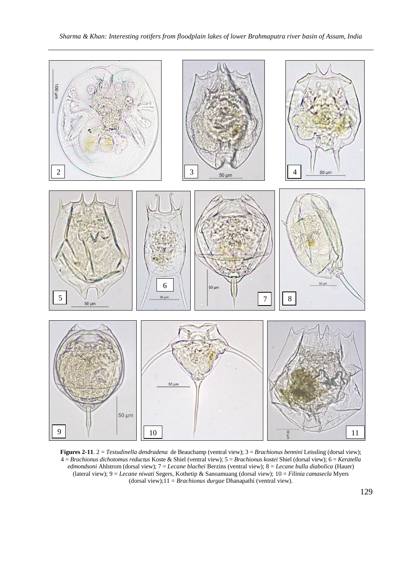

**Figures 2-11**. 2 = *Testudinella dendradena* de Beauchamp (ventral view); 3 = *Brachionus bennini* Leissling (dorsal view); 4 = *Brachionus dichotomus reductus* Koste & Shiel (ventral view); 5 = *Brachionus kostei* Shiel (dorsal view); 6 = *Keratella edmondsoni* Ahlstrom (dorsal view); 7 = *Lecane blachei* Berzins (ventral view); 8 = *Lecane bulla diabolica* (Hauer) (lateral view); 9 = *Lecane niwati* Segers, Kothetip & Sanoamuang (dorsal view); 10 = *Filinia camasecla* Myers (dorsal view);11 = *Brachionus durgae* Dhanapathi (ventral view).

129